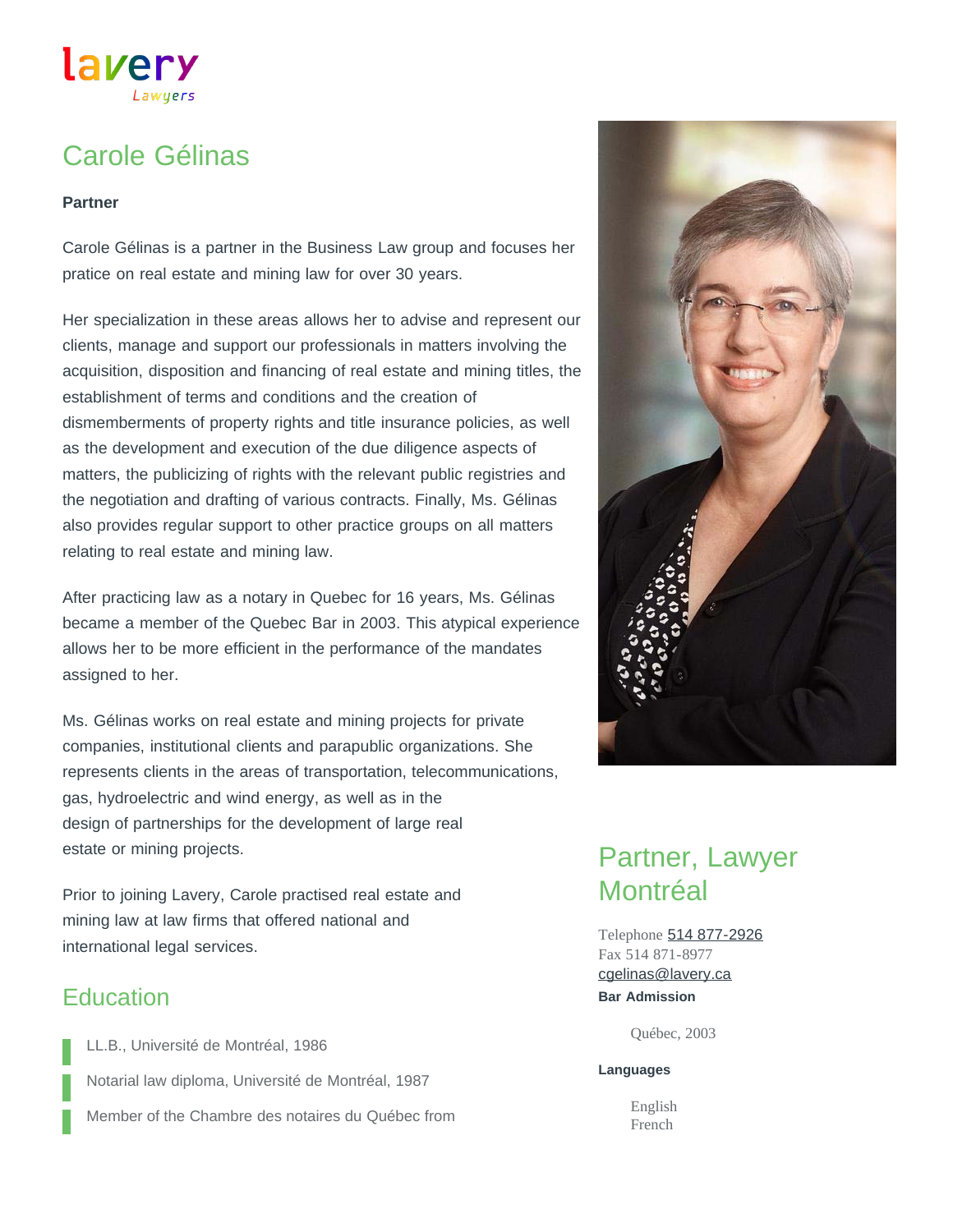# lavery

# Carole Gélinas

### **Partner**

Carole Gélinas is a partner in the Business Law group and focuses her pratice on real estate and mining law for over 30 years.

Her specialization in these areas allows her to advise and represent our clients, manage and support our professionals in matters involving the acquisition, disposition and financing of real estate and mining titles, the establishment of terms and conditions and the creation of dismemberments of property rights and title insurance policies, as well as the development and execution of the due diligence aspects of matters, the publicizing of rights with the relevant public registries and the negotiation and drafting of various contracts. Finally, Ms. Gélinas also provides regular support to other practice groups on all matters relating to real estate and mining law.

After practicing law as a notary in Quebec for 16 years, Ms. Gélinas became a member of the Quebec Bar in 2003. This atypical experience allows her to be more efficient in the performance of the mandates assigned to her.

Ms. Gélinas works on real estate and mining projects for private companies, institutional clients and parapublic organizations. She represents clients in the areas of transportation, telecommunications, gas, hydroelectric and wind energy, as well as in the design of partnerships for the development of large real estate or mining projects.

Prior to joining Lavery, Carole practised real estate and mining law at law firms that offered national and international legal services.

## **Education**

LL.B., Université de Montréal, 1986 Notarial law diploma, Université de Montréal, 1987 Member of the Chambre des notaires du Québec from



# Partner, Lawyer **Montréal**

Telephone [514 877-2926](tel:514-877-2926) Fax 514 871-8977 **Bar Admission** [cgelinas@lavery.ca](mailto:cgelinas@lavery.ca)

Québec, 2003

#### **Languages**

English French